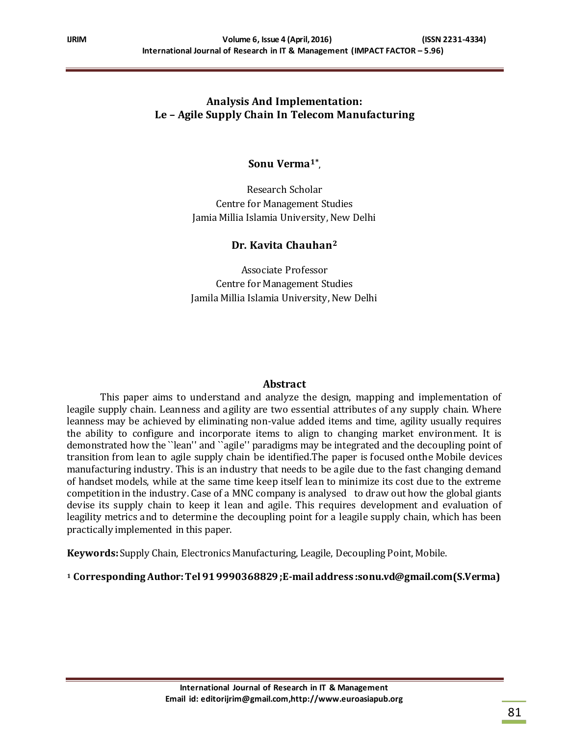# **Analysis And Implementation: Le – Agile Supply Chain In Telecom Manufacturing**

**Sonu Verma1\* ,**

Research Scholar Centre for Management Studies Jamia Millia Islamia University, New Delhi

### **Dr. Kavita Chauhan<sup>2</sup>**

Associate Professor Centre for Management Studies Jamila Millia Islamia University, New Delhi

### **Abstract**

This paper aims to understand and analyze the design, mapping and implementation of leagile supply chain. Leanness and agility are two essential attributes of any supply chain. Where leanness may be achieved by eliminating non-value added items and time, agility usually requires the ability to configure and incorporate items to align to changing market environment. It is demonstrated how the ``lean'' and ``agile'' paradigms may be integrated and the decoupling point of transition from lean to agile supply chain be identified.The paper is focused onthe Mobile devices manufacturing industry. This is an industry that needs to be agile due to the fast changing demand of handset models, while at the same time keep itself lean to minimize its cost due to the extreme competition in the industry. Case of a MNC company is analysed to draw out how the global giants devise its supply chain to keep it lean and agile. This requires development and evaluation of leagility metrics and to determine the decoupling point for a leagile supply chain, which has been practically implemented in this paper.

**Keywords:** Supply Chain, Electronics Manufacturing, Leagile, Decoupling Point, Mobile.

**<sup>1</sup> Corresponding Author:Tel 91 9990368829 ;E-mail address :sonu.vd@gmail.com(S.Verma)**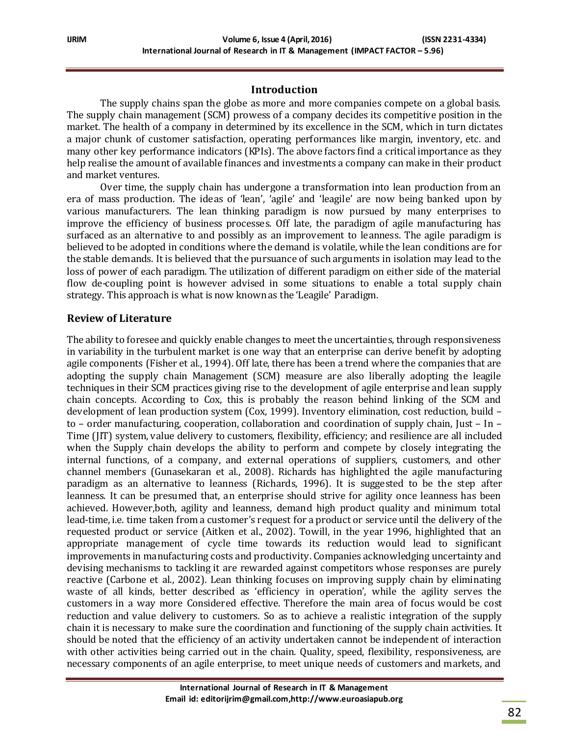## **Introduction**

The supply chains span the globe as more and more companies compete on a global basis. The supply chain management (SCM) prowess of a company decides its competitive position in the market. The health of a company in determined by its excellence in the SCM, which in turn dictates a major chunk of customer satisfaction, operating performances like margin, inventory, etc. and many other key performance indicators (KPIs). The above factors find a critical importance as they help realise the amount of available finances and investments a company can make in their product and market ventures.

Over time, the supply chain has undergone a transformation into lean production from an era of mass production. The ideas of 'lean', 'agile' and 'leagile' are now being banked upon by various manufacturers. The lean thinking paradigm is now pursued by many enterprises to improve the efficiency of business processes. Off late, the paradigm of agile manufacturing has surfaced as an alternative to and possibly as an improvement to leanness. The agile paradigm is believed to be adopted in conditions where the demand is volatile, while the lean conditions are for the stable demands. It is believed that the pursuance of such arguments in isolation may lead to the loss of power of each paradigm. The utilization of different paradigm on either side of the material flow de-coupling point is however advised in some situations to enable a total supply chain strategy. This approach is what is now known as the 'Leagile' Paradigm.

### **Review of Literature**

The ability to foresee and quickly enable changes to meet the uncertainties, through responsiveness in variability in the turbulent market is one way that an enterprise can derive benefit by adopting agile components (Fisher et al., 1994). Off late, there has been a trend where the companies that are adopting the supply chain Management (SCM) measure are also liberally adopting the leagile techniques in their SCM practices giving rise to the development of agile enterprise and lean supply chain concepts. According to Cox, this is probably the reason behind linking of the SCM and development of lean production system (Cox, 1999). Inventory elimination, cost reduction, build – to – order manufacturing, cooperation, collaboration and coordination of supply chain, Just – In – Time (JIT) system, value delivery to customers, flexibility, efficiency; and resilience are all included when the Supply chain develops the ability to perform and compete by closely integrating the internal functions, of a company, and external operations of suppliers, customers, and other channel members (Gunasekaran et al., 2008). Richards has highlighted the agile manufacturing paradigm as an alternative to leanness (Richards, 1996). It is suggested to be the step after leanness. It can be presumed that, an enterprise should strive for agility once leanness has been achieved. However,both, agility and leanness, demand high product quality and minimum total lead-time, i.e. time taken from a customer's request for a product or service until the delivery of the requested product or service (Aitken et al., 2002). Towill, in the year 1996, highlighted that an appropriate management of cycle time towards its reduction would lead to significant improvements in manufacturing costs and productivity. Companies acknowledging uncertainty and devising mechanisms to tackling it are rewarded against competitors whose responses are purely reactive (Carbone et al., 2002). Lean thinking focuses on improving supply chain by eliminating waste of all kinds, better described as 'efficiency in operation', while the agility serves the customers in a way more Considered effective. Therefore the main area of focus would be cost reduction and value delivery to customers. So as to achieve a realistic integration of the supply chain it is necessary to make sure the coordination and functioning of the supply chain activities. It should be noted that the efficiency of an activity undertaken cannot be independent of interaction with other activities being carried out in the chain. Quality, speed, flexibility, responsiveness, are necessary components of an agile enterprise, to meet unique needs of customers and markets, and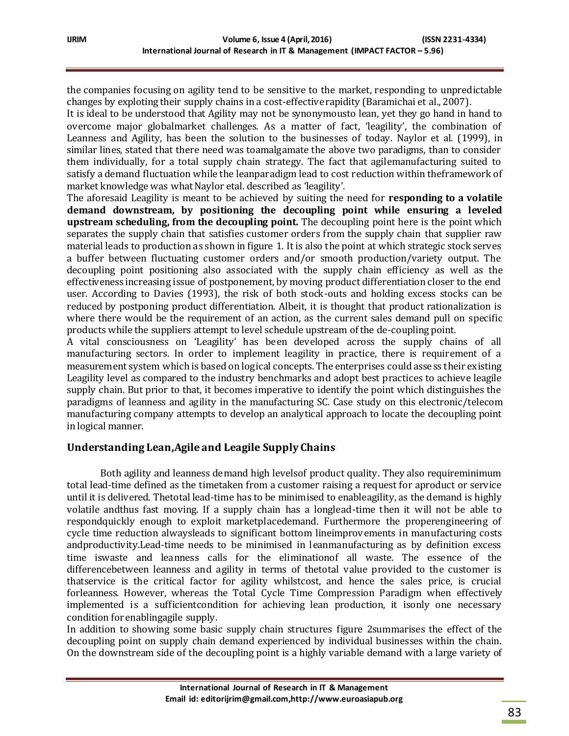the companies focusing on agility tend to be sensitive to the market, responding to unpredictable changes by exploting their supply chains in a cost-effective rapidity (Baramichai et al., 2007).

It is ideal to be understood that Agility may not be synonymousto lean, yet they go hand in hand to overcome major globalmarket challenges. As a matter of fact, 'leagility', the combination of Leanness and Agility, has been the solution to the businesses of today. Naylor et al. (1999), in similar lines, stated that there need was toamalgamate the above two paradigms, than to consider them individually, for a total supply chain strategy. The fact that agilemanufacturing suited to satisfy a demand fluctuation while the leanparadigm lead to cost reduction within theframework of market knowledge was what Naylor etal. described as 'leagility'.

The aforesaid Leagility is meant to be achieved by suiting the need for **responding to a volatile demand downstream, by positioning the decoupling point while ensuring a leveled upstream scheduling, from the decoupling point.** The decoupling point here is the point which separates the supply chain that satisfies customer orders from the supply chain that supplier raw material leads to production as shown in figure 1. It is also the point at which strategic stock serves a buffer between fluctuating customer orders and/or smooth production/variety output. The decoupling point positioning also associated with the supply chain efficiency as well as the effectiveness increasing issue of postponement, by moving product differentiation closer to the end user. According to Davies (1993), the risk of both stock-outs and holding excess stocks can be reduced by postponing product differentiation. Albeit, it is thought that product rationalization is where there would be the requirement of an action, as the current sales demand pull on specific products while the suppliers attempt to level schedule upstream of the de-coupling point.

A vital consciousness on 'Leagility' has been developed across the supply chains of all manufacturing sectors. In order to implement leagility in practice, there is requirement of a measurement system which is based on logical concepts. The enterprises could assess their existing Leagility level as compared to the industry benchmarks and adopt best practices to achieve leagile supply chain. But prior to that, it becomes imperative to identify the point which distinguishes the paradigms of leanness and agility in the manufacturing SC. Case study on this electronic/telecom manufacturing company attempts to develop an analytical approach to locate the decoupling point in logical manner.

# **Understanding Lean,Agile and Leagile Supply Chains**

Both agility and leanness demand high levelsof product quality. They also requireminimum total lead-time defined as the timetaken from a customer raising a request for aproduct or service until it is delivered. Thetotal lead-time has to be minimised to enableagility, as the demand is highly volatile andthus fast moving. If a supply chain has a longlead-time then it will not be able to respondquickly enough to exploit marketplacedemand. Furthermore the properengineering of cycle time reduction alwaysleads to significant bottom lineimprovements in manufacturing costs andproductivity.Lead-time needs to be minimised in leanmanufacturing as by definition excess time iswaste and leanness calls for the eliminationof all waste. The essence of the differencebetween leanness and agility in terms of thetotal value provided to the customer is thatservice is the critical factor for agility whilstcost, and hence the sales price, is crucial forleanness. However, whereas the Total Cycle Time Compression Paradigm when effectively implemented is a sufficientcondition for achieving lean production, it isonly one necessary condition for enablingagile supply.

In addition to showing some basic supply chain structures figure 2summarises the effect of the decoupling point on supply chain demand experienced by individual businesses within the chain. On the downstream side of the decoupling point is a highly variable demand with a large variety of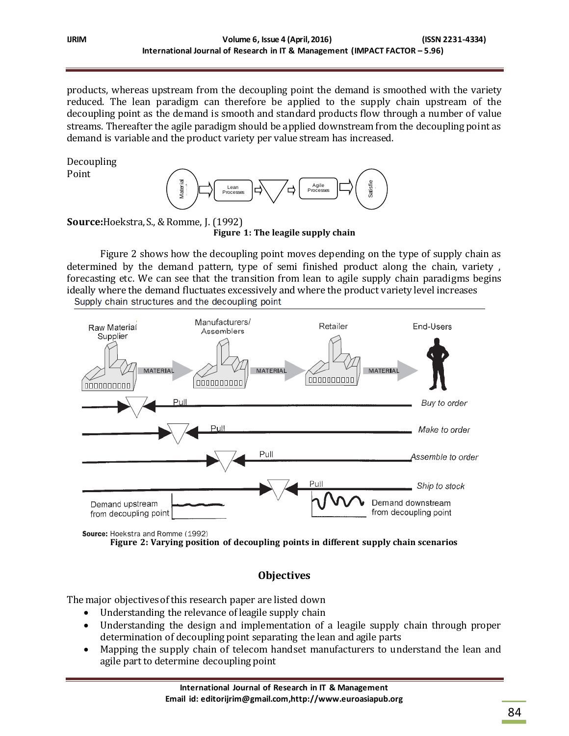products, whereas upstream from the decoupling point the demand is smoothed with the variety reduced. The lean paradigm can therefore be applied to the supply chain upstream of the decoupling point as the demand is smooth and standard products flow through a number of value streams. Thereafter the agile paradigm should be applied downstream from the decoupling point as demand is variable and the product variety per value stream has increased.

Decoupling Point



**Source:**Hoekstra, S., & Romme, J. (1992) **Figure 1: The leagile supply chain**

Figure 2 shows how the decoupling point moves depending on the type of supply chain as determined by the demand pattern, type of semi finished product along the chain, variety , forecasting etc. We can see that the transition from lean to agile supply chain paradigms begins ideally where the demand fluctuates excessively and where the product variety level increases



**Figure 2: Varying position of decoupling points in different supply chain scenarios**

# **Objectives**

The major objectives of this research paper are listed down

- Understanding the relevance of leagile supply chain
- Understanding the design and implementation of a leagile supply chain through proper determination of decoupling point separating the lean and agile parts
- Mapping the supply chain of telecom handset manufacturers to understand the lean and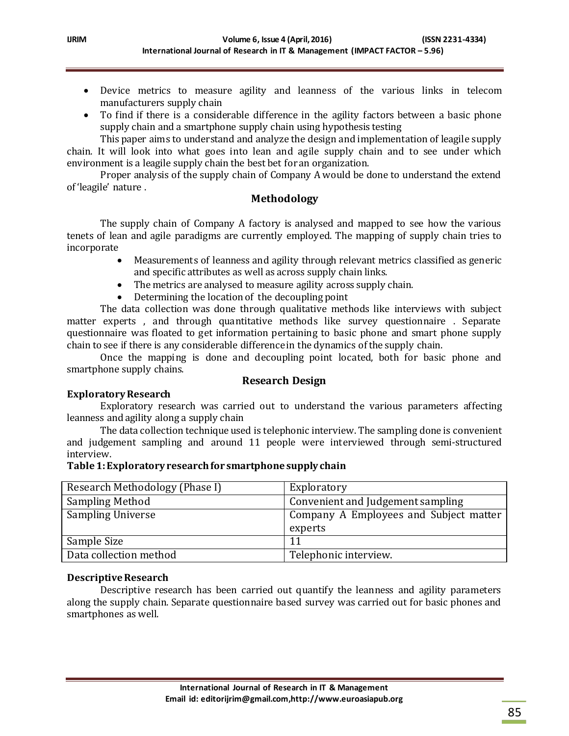- Device metrics to measure agility and leanness of the various links in telecom manufacturers supply chain
- To find if there is a considerable difference in the agility factors between a basic phone supply chain and a smartphone supply chain using hypothesis testing

This paper aims to understand and analyze the design and implementation of leagile supply chain. It will look into what goes into lean and agile supply chain and to see under which environment is a leagile supply chain the best bet for an organization.

Proper analysis of the supply chain of Company A would be done to understand the extend of 'leagile' nature .

### **Methodology**

The supply chain of Company A factory is analysed and mapped to see how the various tenets of lean and agile paradigms are currently employed. The mapping of supply chain tries to incorporate

- Measurements of leanness and agility through relevant metrics classified as generic and specific attributes as well as across supply chain links.
- The metrics are analysed to measure agility across supply chain.
- Determining the location of the decoupling point

The data collection was done through qualitative methods like interviews with subject matter experts , and through quantitative methods like survey questionnaire . Separate questionnaire was floated to get information pertaining to basic phone and smart phone supply chain to see if there is any considerable difference in the dynamics of the supply chain.

Once the mapping is done and decoupling point located, both for basic phone and smartphone supply chains.

### **Research Design**

### **Exploratory Research**

Exploratory research was carried out to understand the various parameters affecting leanness and agility along a supply chain

The data collection technique used is telephonic interview. The sampling done is convenient and judgement sampling and around 11 people were interviewed through semi-structured interview.

### **Table 1: Exploratory research for smartphone supply chain**

| Research Methodology (Phase I) | Exploratory                            |
|--------------------------------|----------------------------------------|
| <b>Sampling Method</b>         | Convenient and Judgement sampling      |
| <b>Sampling Universe</b>       | Company A Employees and Subject matter |
|                                | experts                                |
| Sample Size                    | 11                                     |
| Data collection method         | Telephonic interview.                  |

### **Descriptive Research**

Descriptive research has been carried out quantify the leanness and agility parameters along the supply chain. Separate questionnaire based survey was carried out for basic phones and smartphones as well.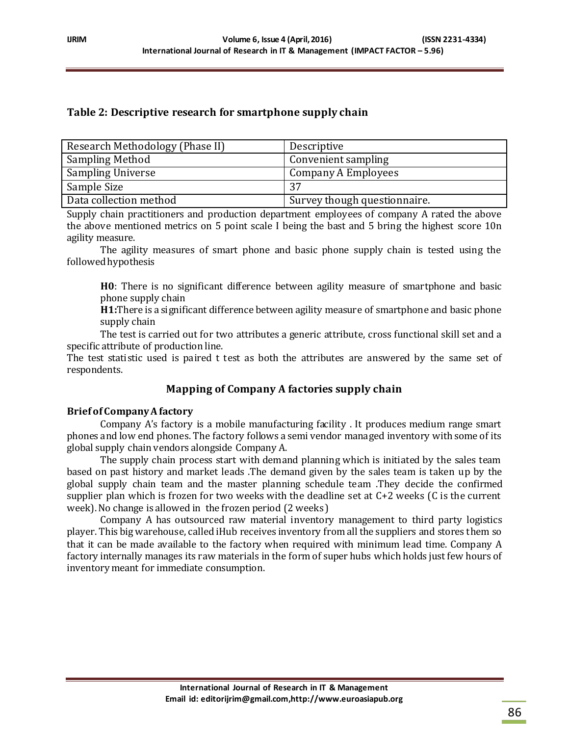# **Table 2: Descriptive research for smartphone supply chain**

| Research Methodology (Phase II) | Descriptive                  |
|---------------------------------|------------------------------|
| <b>Sampling Method</b>          | Convenient sampling          |
| <b>Sampling Universe</b>        | Company A Employees          |
| Sample Size                     | 37                           |
| Data collection method          | Survey though questionnaire. |

Supply chain practitioners and production department employees of company A rated the above the above mentioned metrics on 5 point scale I being the bast and 5 bring the highest score 10n agility measure.

The agility measures of smart phone and basic phone supply chain is tested using the followed hypothesis

**H0**: There is no significant difference between agility measure of smartphone and basic phone supply chain

**H1:**There is a significant difference between agility measure of smartphone and basic phone supply chain

The test is carried out for two attributes a generic attribute, cross functional skill set and a specific attribute of production line.

The test statistic used is paired t test as both the attributes are answered by the same set of respondents.

# **Mapping of Company A factories supply chain**

### **Brief of Company A factory**

Company A's factory is a mobile manufacturing facility . It produces medium range smart phones and low end phones. The factory follows a semi vendor managed inventory with some of its global supply chain vendors alongside Company A.

The supply chain process start with demand planning which is initiated by the sales team based on past history and market leads .The demand given by the sales team is taken up by the global supply chain team and the master planning schedule team .They decide the confirmed supplier plan which is frozen for two weeks with the deadline set at C+2 weeks (C is the current week). No change is allowed in the frozen period (2 weeks )

Company A has outsourced raw material inventory management to third party logistics player. This big warehouse, called iHub receives inventory from all the suppliers and stores them so that it can be made available to the factory when required with minimum lead time. Company A factory internally manages its raw materials in the form of super hubs which holds just few hours of inventory meant for immediate consumption.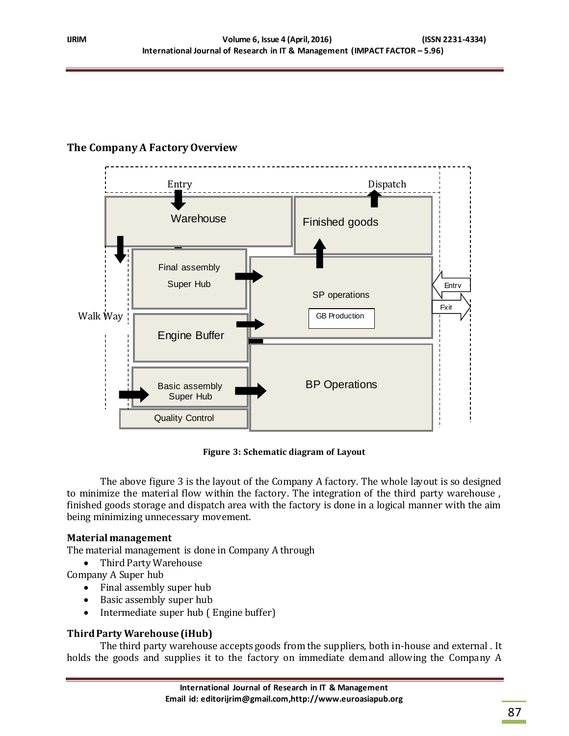# **The Company A Factory Overview**



**Figure 3: Schematic diagram of Layout**

The above figure 3 is the layout of the Company A factory. The whole layout is so designed to minimize the material flow within the factory. The integration of the third party warehouse , finished goods storage and dispatch area with the factory is done in a logical manner with the aim being minimizing unnecessary movement.

### **Material management**

The material management is done in Company A through

• Third Party Warehouse

- Company A Super hub
	- Final assembly super hub
	- Basic assembly super hub
	- Intermediate super hub (Engine buffer)

# **Third Party Warehouse (iHub)**

The third party warehouse accepts goods from the suppliers, both in-house and external . It holds the goods and supplies it to the factory on immediate demand allowing the Company A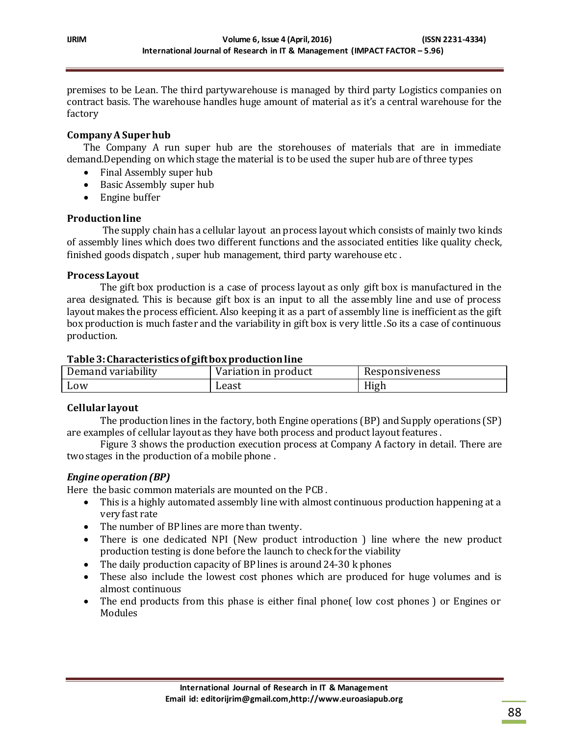premises to be Lean. The third partywarehouse is managed by third party Logistics companies on contract basis. The warehouse handles huge amount of material as it's a central warehouse for the factory

## **Company A Super hub**

The Company A run super hub are the storehouses of materials that are in immediate demand.Depending on which stage the material is to be used the super hub are of three types

- Final Assembly super hub
- Basic Assembly super hub
- Engine buffer

### **Production line**

The supply chain has a cellular layout an process layout which consists of mainly two kinds of assembly lines which does two different functions and the associated entities like quality check, finished goods dispatch , super hub management, third party warehouse etc .

### **Process Layout**

The gift box production is a case of process layout as only gift box is manufactured in the area designated. This is because gift box is an input to all the assembly line and use of process layout makes the process efficient. Also keeping it as a part of assembly line is inefficient as the gift box production is much faster and the variability in gift box is very little .So its a case of continuous production.

#### **Table 3: Characteristics of gift box production line**

| - 1 - .<br>Demand variability | Variation in product | Responsiveness     |
|-------------------------------|----------------------|--------------------|
| Low                           | Least                | <b>TT:</b><br>High |

### **Cellular layout**

The production lines in the factory, both Engine operations (BP) and Supply operations (SP) are examples of cellular layout as they have both process and product layout features .

Figure 3 shows the production execution process at Company A factory in detail. There are two stages in the production of a mobile phone .

### *Engine operation (BP)*

Here the basic common materials are mounted on the PCB .

- This is a highly automated assembly line with almost continuous production happening at a very fast rate
- The number of BP lines are more than twenty.
- There is one dedicated NPI (New product introduction ) line where the new product production testing is done before the launch to check for the viability
- The daily production capacity of BP lines is around 24-30 k phones
- These also include the lowest cost phones which are produced for huge volumes and is almost continuous
- The end products from this phase is either final phone (low cost phones) or Engines or Modules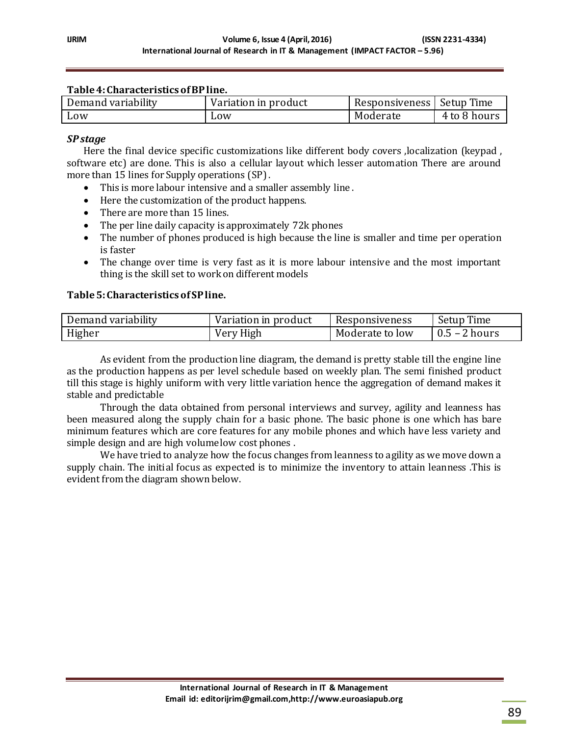#### **Table 4: Characteristics of BP line.**

| Demand variability | Variation in product | Responsiveness   Setup Time |              |
|--------------------|----------------------|-----------------------------|--------------|
| Low                | L <sub>0</sub> W     | Moderate                    | 4 to 8 hours |

#### *SPstage*

Here the final device specific customizations like different body covers ,localization (keypad , software etc) are done. This is also a cellular layout which lesser automation There are around more than 15 lines for Supply operations (SP) .

- This is more labour intensive and a smaller assembly line .
- Here the customization of the product happens.
- There are more than 15 lines.
- The per line daily capacity is approximately 72k phones
- The number of phones produced is high because the line is smaller and time per operation is faster
- The change over time is very fast as it is more labour intensive and the most important thing is the skill set to work on different models

#### **Table 5: Characteristics of SP line.**

| Demand variability | Variation in product | Responsiveness  | Setup Time             |
|--------------------|----------------------|-----------------|------------------------|
| Higher             | Very High            | Moderate to low | $\sqrt{0.5}$ – 2 hours |

As evident from the production line diagram, the demand is pretty stable till the engine line as the production happens as per level schedule based on weekly plan. The semi finished product till this stage is highly uniform with very little variation hence the aggregation of demand makes it stable and predictable

Through the data obtained from personal interviews and survey, agility and leanness has been measured along the supply chain for a basic phone. The basic phone is one which has bare minimum features which are core features for any mobile phones and which have less variety and simple design and are high volume low cost phones .

We have tried to analyze how the focus changes from leanness to agility as we move down a supply chain. The initial focus as expected is to minimize the inventory to attain leanness .This is evident from the diagram shown below.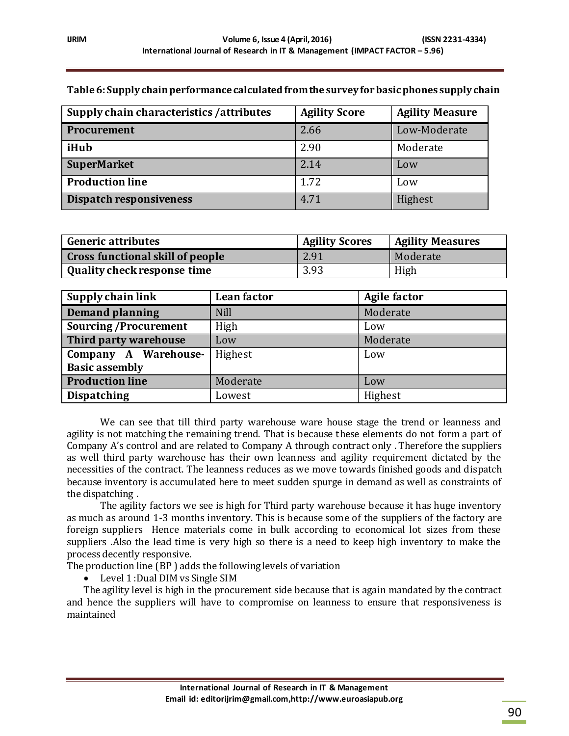| Supply chain characteristics / attributes | <b>Agility Score</b> | <b>Agility Measure</b> |
|-------------------------------------------|----------------------|------------------------|
| <b>Procurement</b>                        | 2.66                 | Low-Moderate           |
| iHub                                      | 2.90                 | Moderate               |
| <b>SuperMarket</b>                        | 2.14                 | Low                    |
| <b>Production line</b>                    | 1.72                 | Low                    |
| Dispatch responsiveness                   | 4.71                 | Highest                |

### **Table 6: Supply chain performance calculated from the survey for basic phones supply chain**

| <b>Generic attributes</b>               | <b>Agility Scores</b> | <b>Agility Measures</b> |
|-----------------------------------------|-----------------------|-------------------------|
| <b>Cross functional skill of people</b> | 2.91                  | Moderate                |
| <b>Quality check response time</b>      | 3.93                  | High                    |

| Supply chain link           | Lean factor | <b>Agile factor</b> |
|-----------------------------|-------------|---------------------|
| <b>Demand planning</b>      | <b>Nill</b> | Moderate            |
| <b>Sourcing/Procurement</b> | High        | Low                 |
| Third party warehouse       | Low         | Moderate            |
| Company A Warehouse-        | Highest     | Low                 |
| <b>Basic assembly</b>       |             |                     |
| <b>Production line</b>      | Moderate    | Low                 |
| <b>Dispatching</b>          | Lowest      | Highest             |

We can see that till third party warehouse ware house stage the trend or leanness and agility is not matching the remaining trend. That is because these elements do not form a part of Company A's control and are related to Company A through contract only . Therefore the suppliers as well third party warehouse has their own leanness and agility requirement dictated by the necessities of the contract. The leanness reduces as we move towards finished goods and dispatch because inventory is accumulated here to meet sudden spurge in demand as well as constraints of the dispatching .

The agility factors we see is high for Third party warehouse because it has huge inventory as much as around 1-3 months inventory. This is because some of the suppliers of the factory are foreign suppliers Hence materials come in bulk according to economical lot sizes from these suppliers .Also the lead time is very high so there is a need to keep high inventory to make the process decently responsive.

The production line (BP ) adds the following levels of variation

• Level 1 : Dual DIM vs Single SIM

The agility level is high in the procurement side because that is again mandated by the contract and hence the suppliers will have to compromise on leanness to ensure that responsiveness is maintained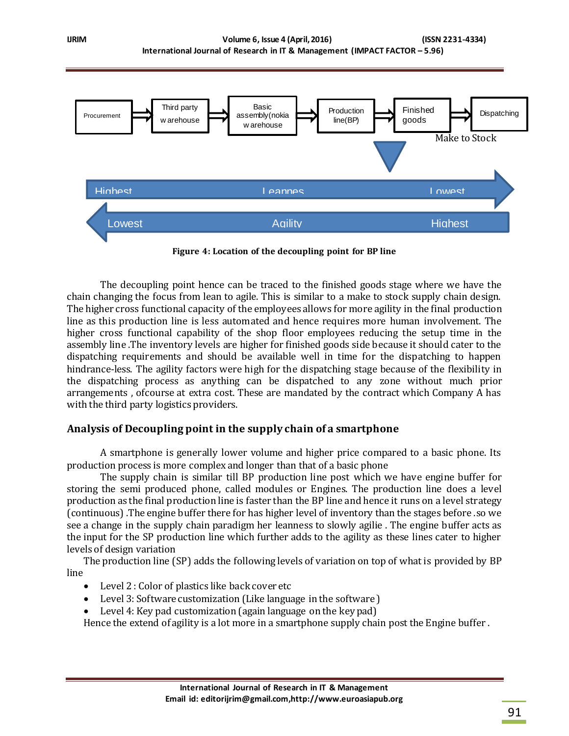

**Figure 4: Location of the decoupling point for BP line**

The decoupling point hence can be traced to the finished goods stage where we have the chain changing the focus from lean to agile. This is similar to a make to stock supply chain design. The higher cross functional capacity of the employees allows for more agility in the final production line as this production line is less automated and hence requires more human involvement. The higher cross functional capability of the shop floor employees reducing the setup time in the assembly line .The inventory levels are higher for finished goods side because it should cater to the dispatching requirements and should be available well in time for the dispatching to happen hindrance-less. The agility factors were high for the dispatching stage because of the flexibility in the dispatching process as anything can be dispatched to any zone without much prior arrangements , ofcourse at extra cost. These are mandated by the contract which Company A has with the third party logistics providers.

### **Analysis of Decoupling point in the supply chain of a smartphone**

A smartphone is generally lower volume and higher price compared to a basic phone. Its production process is more complex and longer than that of a basic phone

The supply chain is similar till BP production line post which we have engine buffer for storing the semi produced phone, called modules or Engines. The production line does a level production as the final production line is faster than the BP line and hence it runs on a level strategy (continuous) .The engine buffer there for has higher level of inventory than the stages before .so we see a change in the supply chain paradigm her leanness to slowly agilie . The engine buffer acts as the input for the SP production line which further adds to the agility as these lines cater to higher levels of design variation

The production line (SP) adds the following levels of variation on top of what is provided by BP line

- Level 2 : Color of plastics like back cover etc
- Level 3: Software customization (Like language in the software )
- Level 4: Key pad customization (again language on the key pad)

Hence the extend of agility is a lot more in a smartphone supply chain post the Engine buffer .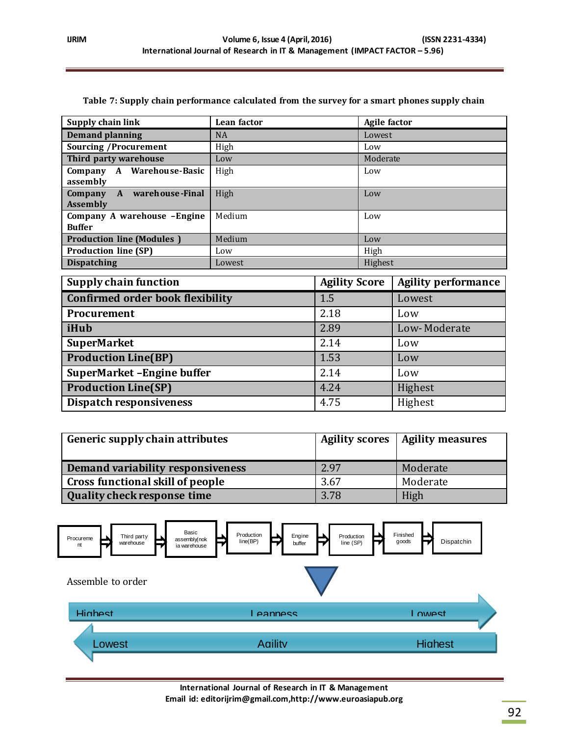| Supply chain link                               | Lean factor | <b>Agile factor</b> |
|-------------------------------------------------|-------------|---------------------|
| <b>Demand planning</b>                          | <b>NA</b>   | Lowest              |
| <b>Sourcing /Procurement</b>                    | High        | Low                 |
| Third party warehouse                           | Low         | Moderate            |
| Company A Warehouse-Basic                       | High        | Low                 |
| assembly                                        |             |                     |
| A warehouse-Final<br>Company<br><b>Assembly</b> | High        | Low                 |
| Company A warehouse - Engine<br><b>Buffer</b>   | Medium      | Low                 |
| <b>Production line (Modules)</b>                | Medium      | Low                 |
| <b>Production line (SP)</b>                     | Low         | High                |
| <b>Dispatching</b>                              | Lowest      | Highest             |

#### **Table 7: Supply chain performance calculated from the survey for a smart phones supply chain**

| Supply chain function                   | <b>Agility Score</b> | <b>Agility performance</b> |
|-----------------------------------------|----------------------|----------------------------|
| <b>Confirmed order book flexibility</b> | 1.5                  | Lowest                     |
| Procurement                             | 2.18                 | Low                        |
| iHub                                    | 2.89                 | Low-Moderate               |
| <b>SuperMarket</b>                      | 2.14                 | Low                        |
| <b>Production Line(BP)</b>              | 1.53                 | Low                        |
| SuperMarket - Engine buffer             | 2.14                 | Low                        |
| <b>Production Line(SP)</b>              | 4.24                 | Highest                    |
| <b>Dispatch responsiveness</b>          | 4.75                 | Highest                    |

| Generic supply chain attributes    |      | Agility scores   Agility measures |
|------------------------------------|------|-----------------------------------|
| Demand variability responsiveness  | 2.97 | Moderate                          |
| Cross functional skill of people   | 3.67 | Moderate                          |
| <b>Quality check response time</b> | 3.78 | High                              |



**International Journal of Research in IT & Management Email id: editorijrim@gmail.com,http://www.euroasiapub.org**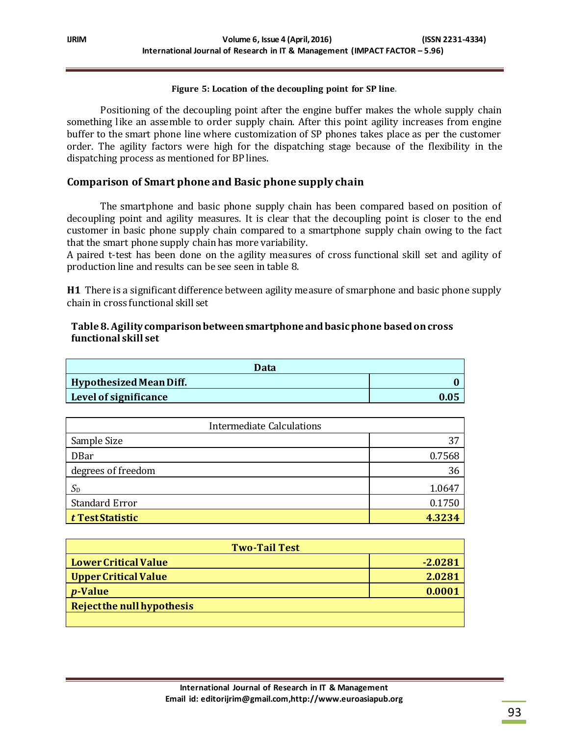#### **Figure 5: Location of the decoupling point for SP line.**

Positioning of the decoupling point after the engine buffer makes the whole supply chain something like an assemble to order supply chain. After this point agility increases from engine buffer to the smart phone line where customization of SP phones takes place as per the customer order. The agility factors were high for the dispatching stage because of the flexibility in the dispatching process as mentioned for BP lines.

## **Comparison of Smart phone and Basic phone supply chain**

The smartphone and basic phone supply chain has been compared based on position of decoupling point and agility measures. It is clear that the decoupling point is closer to the end customer in basic phone supply chain compared to a smartphone supply chain owing to the fact that the smart phone supply chain has more variability.

A paired t-test has been done on the agility measures of cross functional skill set and agility of production line and results can be see seen in table 8.

**H1** There is a significant difference between agility measure of smarphone and basic phone supply chain in cross functional skill set

#### **Table 8. Agility comparison between smartphone and basic phone based on cross functional skill set**

| Data                    |  |
|-------------------------|--|
| Hypothesized Mean Diff. |  |
| Level of significance   |  |

| <b>Intermediate Calculations</b> |        |
|----------------------------------|--------|
| Sample Size                      | 37     |
| <b>DBar</b>                      | 0.7568 |
| degrees of freedom               | 36     |
| $S_{\text{D}}$                   | 1.0647 |
| <b>Standard Error</b>            | 0.1750 |
| t Test Statistic                 | 4.3234 |

| <b>Two-Tail Test</b>       |           |  |
|----------------------------|-----------|--|
| Lower Critical Value       | $-2.0281$ |  |
| Upper Critical Value       | 2.0281    |  |
| $\boldsymbol{p}$ -Value    | 0.0001    |  |
| Reject the null hypothesis |           |  |
|                            |           |  |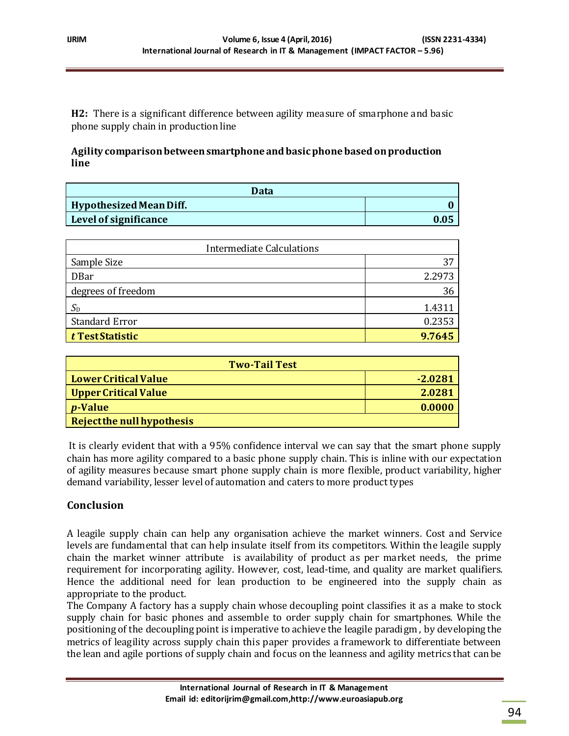**H2:** There is a significant difference between agility measure of smarphone and basic phone supply chain in production line

**Agility comparison between smartphone and basic phone based on production line**

| Data                           |      |
|--------------------------------|------|
| <b>Hypothesized Mean Diff.</b> |      |
| Level of significance          | 0.05 |

| <b>Intermediate Calculations</b> |        |
|----------------------------------|--------|
| Sample Size                      | 37     |
| <b>DBar</b>                      | 2.2973 |
| degrees of freedom               | 36     |
| $S_{\text{D}}$                   | 1.4311 |
| <b>Standard Error</b>            | 0.2353 |
| $ t$ Test Statistic              | 9.7645 |

| <b>Two-Tail Test</b>              |           |  |
|-----------------------------------|-----------|--|
| <b>Lower Critical Value</b>       | $-2.0281$ |  |
| <b>Upper Critical Value</b>       | 2.0281    |  |
| <i>p</i> -Value                   | 0.0000    |  |
| <b>Reject the null hypothesis</b> |           |  |

It is clearly evident that with a 95% confidence interval we can say that the smart phone supply chain has more agility compared to a basic phone supply chain. This is inline with our expectation of agility measures because smart phone supply chain is more flexible, product variability, higher demand variability, lesser level of automation and caters to more product types

# **Conclusion**

A leagile supply chain can help any organisation achieve the market winners. Cost and Service levels are fundamental that can help insulate itself from its competitors. Within the leagile supply chain the market winner attribute is availability of product as per market needs, the prime requirement for incorporating agility. However, cost, lead-time, and quality are market qualifiers. Hence the additional need for lean production to be engineered into the supply chain as appropriate to the product.

The Company A factory has a supply chain whose decoupling point classifies it as a make to stock supply chain for basic phones and assemble to order supply chain for smartphones. While the positioning of the decoupling point is imperative to achieve the leagile paradigm , by developing the metrics of leagility across supply chain this paper provides a framework to differentiate between the lean and agile portions of supply chain and focus on the leanness and agility metrics that can be